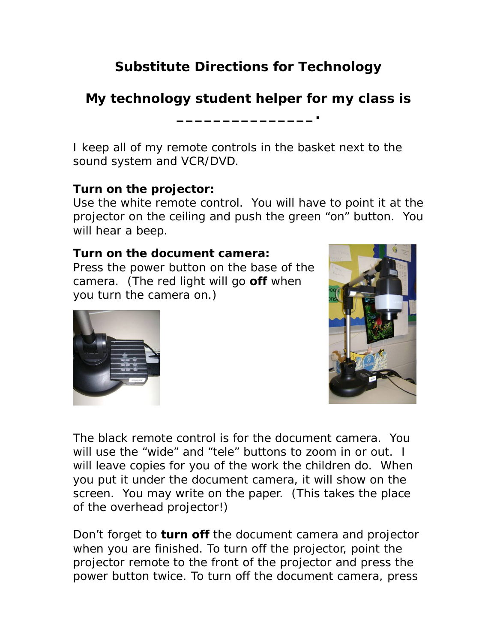# **Substitute Directions for Technology**

# **My technology student helper for my class is**

**\_\_\_\_\_\_\_\_\_\_\_\_\_\_\_.**

I keep all of my remote controls in the basket next to the sound system and VCR/DVD.

### **Turn on the projector:**

Use the white remote control. You will have to point it at the projector on the ceiling and push the green "on" button. You will hear a beep.

#### **Turn on the document camera:**

Press the power button on the base of the camera. (The red light will go **off** when you turn the camera on.)





The black remote control is for the document camera. You will use the "wide" and "tele" buttons to zoom in or out. I will leave copies for you of the work the children do. When you put it under the document camera, it will show on the screen. You may write on the paper. (This takes the place of the overhead projector!)

Don't forget to **turn off** the document camera and projector when you are finished. To turn off the projector, point the projector remote to the front of the projector and press the power button twice. To turn off the document camera, press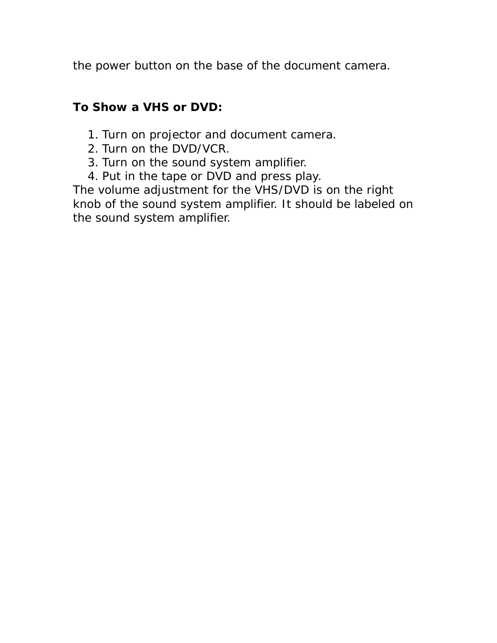the power button on the base of the document camera.

### **To Show a VHS or DVD:**

- 1. Turn on projector and document camera.
- 2. Turn on the DVD/VCR.
- 3. Turn on the sound system amplifier.
- 4. Put in the tape or DVD and press play.

The volume adjustment for the VHS/DVD is on the right knob of the sound system amplifier. It should be labeled on the sound system amplifier.